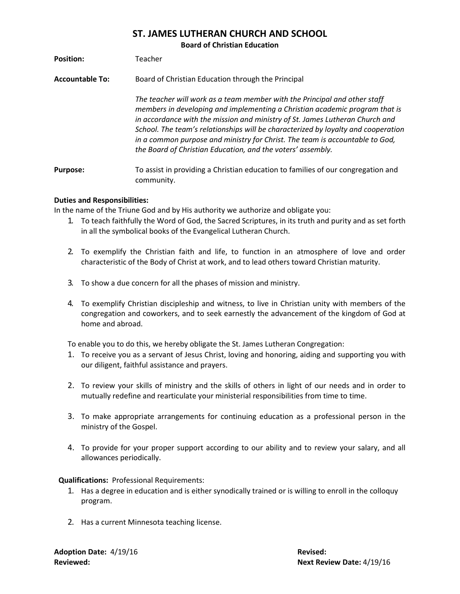## **ST. JAMES LUTHERAN CHURCH AND SCHOOL**

**Board of Christian Education**

| <b>Position:</b> | Teacher |
|------------------|---------|
|                  |         |

**Accountable To:** Board of Christian Education through the Principal

*The teacher will work as a team member with the Principal and other staff members in developing and implementing a Christian academic program that is in accordance with the mission and ministry of St. James Lutheran Church and School. The team's relationships will be characterized by loyalty and cooperation in a common purpose and ministry for Christ. The team is accountable to God, the Board of Christian Education, and the voters' assembly.*

**Purpose:** To assist in providing a Christian education to families of our congregation and community.

## **Duties and Responsibilities:**

In the name of the Triune God and by His authority we authorize and obligate you:

- 1. To teach faithfully the Word of God, the Sacred Scriptures, in its truth and purity and as set forth in all the symbolical books of the Evangelical Lutheran Church.
- 2. To exemplify the Christian faith and life, to function in an atmosphere of love and order characteristic of the Body of Christ at work, and to lead others toward Christian maturity.
- 3. To show a due concern for all the phases of mission and ministry.
- 4. To exemplify Christian discipleship and witness, to live in Christian unity with members of the congregation and coworkers, and to seek earnestly the advancement of the kingdom of God at home and abroad.

To enable you to do this, we hereby obligate the St. James Lutheran Congregation:

- 1. To receive you as a servant of Jesus Christ, loving and honoring, aiding and supporting you with our diligent, faithful assistance and prayers.
- 2. To review your skills of ministry and the skills of others in light of our needs and in order to mutually redefine and rearticulate your ministerial responsibilities from time to time.
- 3. To make appropriate arrangements for continuing education as a professional person in the ministry of the Gospel.
- 4. To provide for your proper support according to our ability and to review your salary, and all allowances periodically.

**Qualifications:** Professional Requirements:

- 1. Has a degree in education and is either synodically trained or is willing to enroll in the colloquy program.
- 2. Has a current Minnesota teaching license.